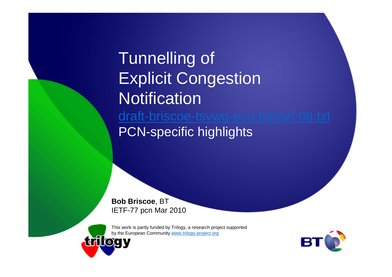Tunnelling of Explicit Congestion **Notification**  draft-briscoe-tsvwg-ecn-tunnel-08.txtPCN-specific highlights

**Bob Briscoe**, BTIETF-77 pcn Mar 2010

This work is partly funded by Trilogy, a research project supported by the European Community www.trilogy-project.org **trilogy** 

BT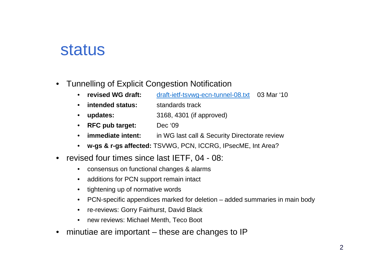#### status

- • Tunnelling of Explicit Congestion Notification
	- **revised WG draft:** draft-ietf-tsvwg-ecn-tunnel-08.txt 03 Mar '10• revised WG draft:
	- •**intended status:** standards track
	- $\bullet$ **updates:** 3168, 4301 (if approved)
	- **RFC pub target:** Dec '09
	- •**immediate intent:** in WG last call & Security Directorate review
	- **w-gs & r-gs affected:** TSVWG, PCN, ICCRG, IPsecME, Int Area?
- revised four times since last IETF, 04 08:
	- •consensus on functional changes & alarms
	- •additions for PCN support remain intact
	- $\bullet$ tightening up of normative words
	- $\bullet$ PCN-specific appendices marked for deletion – added summaries in main body
	- re-reviews: Gorry Fairhurst, David Black
	- •new reviews: Michael Menth, Teco Boot
- minutiae are important these are changes to IP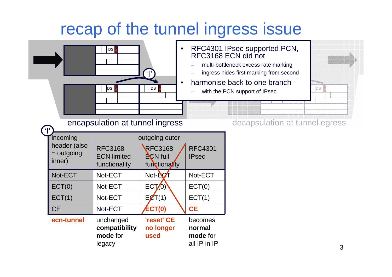## recap of the tunnel ingress issue

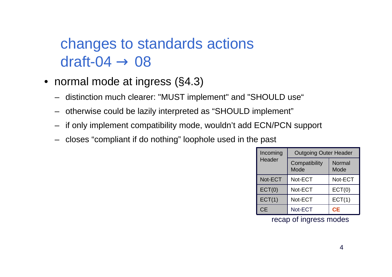# changes to standards actions $dr$ aft- $04 \rightarrow 08$

- normal mode at ingress (§4.3)
	- distinction much clearer: "MUST implement" and "SHOULD use"
	- otherwise could be lazily interpreted as "SHOULD implement"
	- –if only implement compatibility mode, wouldn't add ECN/PCN support
	- closes "compliant if do nothing" loophole used in the past

| Incoming<br>Header | <b>Outgoing Outer Header</b> |                |
|--------------------|------------------------------|----------------|
|                    | Compatibility<br>Mode        | Normal<br>Mode |
| Not-ECT            | Not-ECT                      | Not-ECT        |
| ECT(0)             | Not-ECT                      | ECT(0)         |
| ECT(1)             | Not-ECT                      | ECT(1)         |
| СĒ                 | Not-ECT                      | СE             |

recap of ingress modes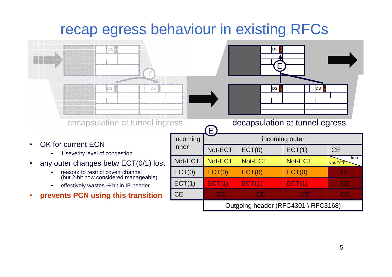### recap egress behaviour in existing RFCs



**CE** 

- •effectively wastes ½ bit in IP header
- •**prevents PCN using this transition**

Outgoing header (RFC4301 \ RFC3168)

E CE CE CE CE CE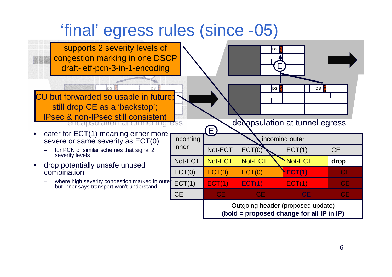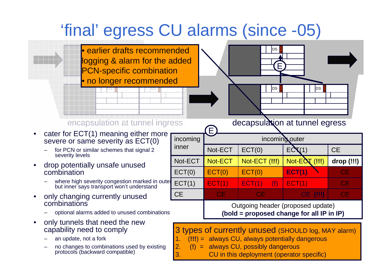## 'final' egress CU alarms (since -05)



1. (**!!!**) = always CU, always potentially dangerous

3. CU in this deployment (operator specific)

2. (**!**) = always CU, possibly dangerous

- an update, not a fork
- no changes to combinations used by existing protocols (backward compatible)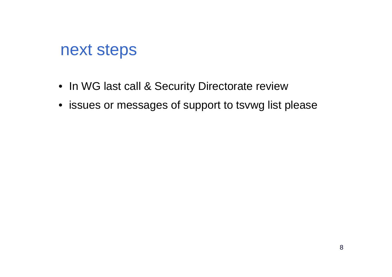#### next steps

- In WG last call & Security Directorate review
- issues or messages of support to tsvwg list please